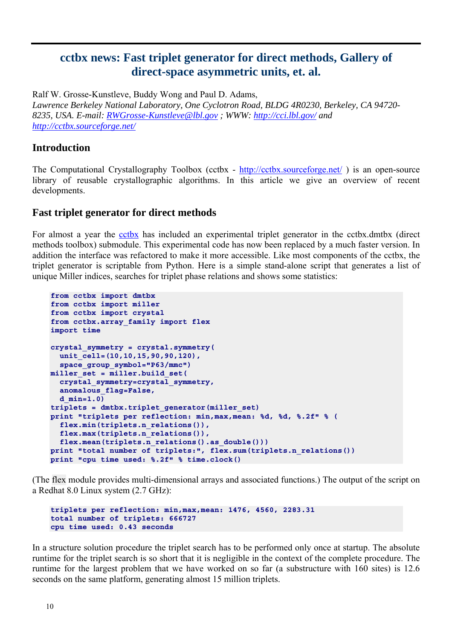# **cctbx news: Fast triplet generator for direct methods, Gallery of direct-space asymmetric units, et. al.**

Ralf W. Grosse-Kunstleve, Buddy Wong and Paul D. Adams, *Lawrence Berkeley National Laboratory, One Cyclotron Road, BLDG 4R0230, Berkeley, CA 94720- 8235, USA. E-mail: [RWGrosse-Kunstleve@lbl.gov](mailto:RWGrosse-Kunstleve@lbl.gov) ; WWW: <http://cci.lbl.gov/>and <http://cctbx.sourceforge.net/>*

### **Introduction**

The Computational Crystallography Toolbox (cctbx - <http://cctbx.sourceforge.net/>) is an open-source library of reusable crystallographic algorithms. In this article we give an overview of recent developments.

#### **Fast triplet generator for direct methods**

For almost a year the [cctbx](http://cctbx.sourceforge.net/) has included an experimental triplet generator in the cctbx.dmtbx (direct methods toolbox) submodule. This experimental code has now been replaced by a much faster version. In addition the interface was refactored to make it more accessible. Like most components of the cctbx, the triplet generator is scriptable from Python. Here is a simple stand-alone script that generates a list of unique Miller indices, searches for triplet phase relations and shows some statistics:

```
from cctbx import dmtbx 
from cctbx import miller 
from cctbx import crystal 
from cctbx.array_family import flex 
import time 
crystal_symmetry = crystal.symmetry( 
  unit_cell=(10,10,15,90,90,120), 
   space_group_symbol="P63/mmc") 
miller_set = miller.build_set( 
   crystal_symmetry=crystal_symmetry, 
   anomalous_flag=False, 
   d_min=1.0) 
triplets = dmtbx.triplet_generator(miller_set) 
print "triplets per reflection: min,max,mean: %d, %d, %.2f" % ( 
   flex.min(triplets.n_relations()), 
   flex.max(triplets.n_relations()), 
  flex.mean(triplets.n_relations().as_double()))
print "total number of triplets:", flex.sum(triplets.n_relations()) 
print "cpu time used: %.2f" % time.clock()
```
(The flex module provides multi-dimensional arrays and associated functions.) The output of the script on a Redhat 8.0 Linux system (2.7 GHz):

```
triplets per reflection: min,max,mean: 1476, 4560, 2283.31 
total number of triplets: 666727 
cpu time used: 0.43 seconds
```
In a structure solution procedure the triplet search has to be performed only once at startup. The absolute runtime for the triplet search is so short that it is negligible in the context of the complete procedure. The runtime for the largest problem that we have worked on so far (a substructure with 160 sites) is 12.6 seconds on the same platform, generating almost 15 million triplets.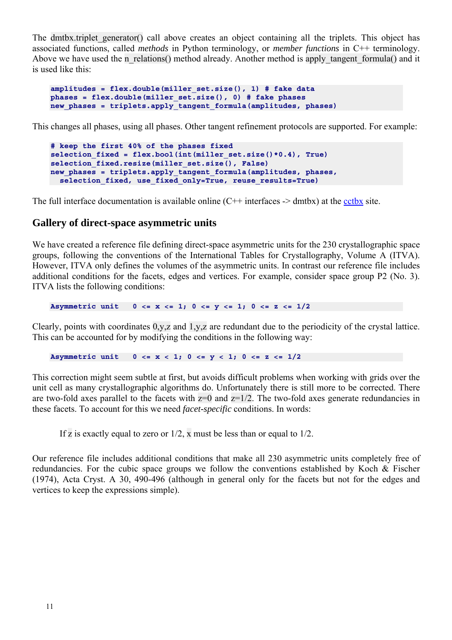The dmtbx.triplet generator() call above creates an object containing all the triplets. This object has associated functions, called *methods* in Python terminology, or *member functions* in C++ terminology. Above we have used the n\_relations() method already. Another method is apply tangent formula() and it is used like this:

```
amplitudes = flex.double(miller_set.size(), 1) # fake data 
phases = flex.double(miller_set.size(), 0) # fake phases 
new phases = triplets.apply<sup>-</sup>tangent formula(amplitudes, phases)
```
This changes all phases, using all phases. Other tangent refinement protocols are supported. For example:

```
# keep the first 40% of the phases fixed 
selection_fixed = flex.bool(int(miller_set.size()*0.4), True) 
selection fixed.resize(miller set.size(), False)
new_phases = triplets.apply_tangent_formula(amplitudes, phases, 
 selection fixed, use fixed only=True, reuse results=True)
```
The full interface documentation is available online  $(C^{++}$  interfaces  $\rightarrow$  dmtbx) at the [cctbx](http://cctbx.sourceforge.net/) site.

#### **Gallery of direct-space asymmetric units**

We have created a reference file defining direct-space asymmetric units for the 230 crystallographic space groups, following the conventions of the International Tables for Crystallography, Volume A (ITVA). However, ITVA only defines the volumes of the asymmetric units. In contrast our reference file includes additional conditions for the facets, edges and vertices. For example, consider space group P2 (No. 3). ITVA lists the following conditions:

Asymmetric unit  $0 \le x \le 1$ ;  $0 \le y \le 1$ ;  $0 \le x \le 1/2$ 

Clearly, points with coordinates 0,y,z and 1,y,z are redundant due to the periodicity of the crystal lattice. This can be accounted for by modifying the conditions in the following way:

Asymmetric unit  $0 \le x \le 1$ ;  $0 \le y \le 1$ ;  $0 \le x \le 1/2$ 

This correction might seem subtle at first, but avoids difficult problems when working with grids over the unit cell as many crystallographic algorithms do. Unfortunately there is still more to be corrected. There are two-fold axes parallel to the facets with  $z=0$  and  $z=1/2$ . The two-fold axes generate redundancies in these facets. To account for this we need *facet-specific* conditions. In words:

If z is exactly equal to zero or  $1/2$ , x must be less than or equal to  $1/2$ .

Our reference file includes additional conditions that make all 230 asymmetric units completely free of redundancies. For the cubic space groups we follow the conventions established by Koch & Fischer (1974), Acta Cryst. A 30, 490-496 (although in general only for the facets but not for the edges and vertices to keep the expressions simple).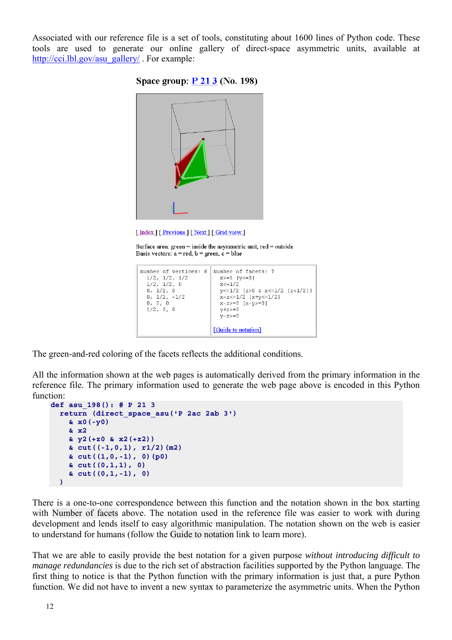Associated with our reference file is a set of tools, constituting about 1600 lines of Python code. These tools are used to generate our online gallery of direct-space asymmetric units, available at [http://cci.lbl.gov/asu\\_gallery/](http://cci.lbl.gov/asu_gallery/) . For example:





[Index ] [Previous ] [Next ] [Grid view]

Surface area:  $green = inside the asymmetric unit, red = outside$ Basis vectors:  $a = red$ ,  $b = green$ ,  $c = blue$ 

```
Number of vertices: 6 Number of facets: 7
 1/2, 1/2, 1/2x>=0 [y<=0]x < = 1/21/2, 1/2, 0
  0, 1/2, 0y \le 1/2 [z>0 & x < = 1/2 [z < 1/2]]
                         x-z < = 1/2 [x+y < = 1/2]
  0, 1/2, -1/20, 0, 0x-z>=0 [x-y>=0]
                         y+z>=01/2, 0, 0v-z>=0[Guide to notation]
```
The green-and-red coloring of the facets reflects the additional conditions.

All the information shown at the web pages is automatically derived from the primary information in the reference file. The primary information used to generate the web page above is encoded in this Python function:

```
def asu_198(): # P 21 3 
   return (direct_space_asu('P 2ac 2ab 3') 
     & x0(-y0) 
     & x2 
     & y2(+z0 & x2(+z2)) 
     & cut((-1,0,1), r1/2)(m2) 
     & cut((1,0,-1), 0)(p0) 
     & cut((0,1,1), 0) 
     & cut((0,1,-1), 0) 
   )
```
There is a one-to-one correspondence between this function and the notation shown in the box starting with Number of facets above. The notation used in the reference file was easier to work with during development and lends itself to easy algorithmic manipulation. The notation shown on the web is easier to understand for humans (follow the Guide to notation link to learn more).

That we are able to easily provide the best notation for a given purpose *without introducing difficult to manage redundancies* is due to the rich set of abstraction facilities supported by the Python language. The first thing to notice is that the Python function with the primary information is just that, a pure Python function. We did not have to invent a new syntax to parameterize the asymmetric units. When the Python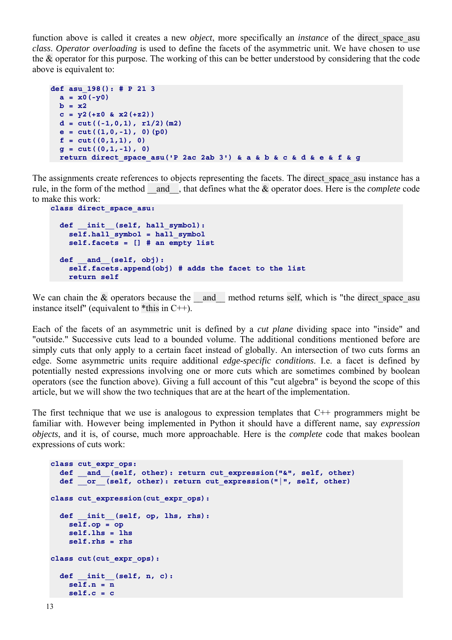function above is called it creates a new *object*, more specifically an *instance* of the direct\_space\_asu *class*. *Operator overloading* is used to define the facets of the asymmetric unit. We have chosen to use the & operator for this purpose. The working of this can be better understood by considering that the code above is equivalent to:

```
def asu_198(): # P 21 3 
 a = x0(-y0)b = x2c = y2(+z0 \& x2(+z2))d = cut((-1,0,1), r1/2) (m2)
  e = cut((1,0,-1), 0) (p0)
  f = cut((0,1,1), 0)g = cut((0,1,-1), 0) return direct_space_asu('P 2ac 2ab 3') & a & b & c & d & e & f & g
```
The assignments create references to objects representing the facets. The direct space asu instance has a rule, in the form of the method \_\_and\_\_, that defines what the & operator does. Here is the *complete* code to make this work:

```
class direct_space_asu: 
   def __init__(self, hall_symbol): 
     self.hall_symbol = hall_symbol 
     self.facets = [] # an empty list 
   def __and__(self, obj): 
     self.facets.append(obj) # adds the facet to the list 
     return self
```
We can chain the  $\&$  operators because the  $\&$  and  $\&$  method returns self, which is "the direct space asu instance itself" (equivalent to  $*$ this in C++).

Each of the facets of an asymmetric unit is defined by a *cut plane* dividing space into "inside" and "outside." Successive cuts lead to a bounded volume. The additional conditions mentioned before are simply cuts that only apply to a certain facet instead of globally. An intersection of two cuts forms an edge. Some asymmetric units require additional *edge-specific conditions*. I.e. a facet is defined by potentially nested expressions involving one or more cuts which are sometimes combined by boolean operators (see the function above). Giving a full account of this "cut algebra" is beyond the scope of this article, but we will show the two techniques that are at the heart of the implementation.

The first technique that we use is analogous to expression templates that C++ programmers might be familiar with. However being implemented in Python it should have a different name, say *expression objects*, and it is, of course, much more approachable. Here is the *complete* code that makes boolean expressions of cuts work:

```
class cut_expr_ops: 
  def and (self, other): return cut expression("&", self, other)
  \det \overline{\phantom{a}} \overline{\phantom{a}} (self, other): return cut expression(" | ", self, other)
class cut_expression(cut_expr_ops): 
   def __init__(self, op, lhs, rhs): 
     self.op = op 
     self.lhs = lhs 
     self.rhs = rhs 
class cut(cut_expr_ops): 
   def __init__(self, n, c): 
     self.n = n 
     self.c = c
```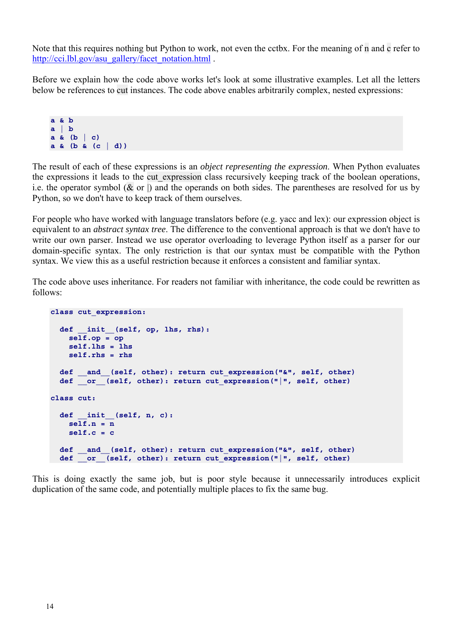Note that this requires nothing but Python to work, not even the cctbx. For the meaning of n and c refer to [http://cci.lbl.gov/asu\\_gallery/facet\\_notation.html](http://cci.lbl.gov/asu_gallery/facet_notation.html) .

Before we explain how the code above works let's look at some illustrative examples. Let all the letters below be references to cut instances. The code above enables arbitrarily complex, nested expressions:

**a & b a | b a & (b | c) a & (b & (c | d))**

The result of each of these expressions is an *object representing the expression*. When Python evaluates the expressions it leads to the cut expression class recursively keeping track of the boolean operations, i.e. the operator symbol  $(\& \text{ or } \parallel)$  and the operands on both sides. The parentheses are resolved for us by Python, so we don't have to keep track of them ourselves.

For people who have worked with language translators before (e.g. yacc and lex): our expression object is equivalent to an *abstract syntax tree*. The difference to the conventional approach is that we don't have to write our own parser. Instead we use operator overloading to leverage Python itself as a parser for our domain-specific syntax. The only restriction is that our syntax must be compatible with the Python syntax. We view this as a useful restriction because it enforces a consistent and familiar syntax.

The code above uses inheritance. For readers not familiar with inheritance, the code could be rewritten as follows:

```
class cut_expression: 
     def __init__(self, op, lhs, rhs): 
        \overline{\text{self}}.\text{op} = \overline{\text{op}} self.lhs = lhs 
         self.rhs = rhs 
     def __and__(self, other): return cut_expression("&", self, other) 
    def \overline{\phantom{a}} or \overline{\phantom{a}} (self, other): return cut expression("|", self, other)
class cut: 
     def __init__(self, n, c): 
         self.n = n 
         self.c = c 
     def __and__(self, other): return cut_expression("&", self, other) 
    \det \overline{\phantom{a}} \overline{\phantom{a}} \overline{\phantom{a}} \overline{\phantom{a}} \overline{\phantom{a}} \overline{\phantom{a}} \overline{\phantom{a}} \overline{\phantom{a}} \overline{\phantom{a}} \overline{\phantom{a}} \overline{\phantom{a}} \overline{\phantom{a}} \overline{\phantom{a}} \overline{\phantom{a}} \overline{\phantom{a}} \overline{\phantom{a}} \overline{\phantom{a}} \overline{\phantom{a}}
```
This is doing exactly the same job, but is poor style because it unnecessarily introduces explicit duplication of the same code, and potentially multiple places to fix the same bug.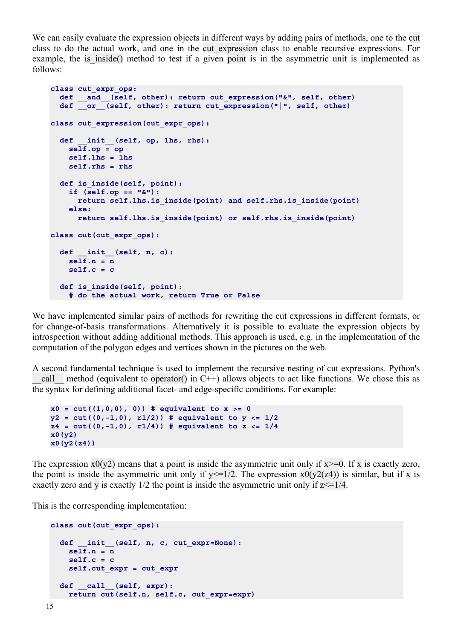We can easily evaluate the expression objects in different ways by adding pairs of methods, one to the cut class to do the actual work, and one in the cut\_expression class to enable recursive expressions. For example, the is inside() method to test if a given point is in the asymmetric unit is implemented as follows:

```
class cut_expr_ops: 
 def __and__(self, other): return cut_expression("&", self, other) 
 def __or__(self, other): return cut_expression("|", self, other) 
class cut_expression(cut_expr_ops): 
   def __init__(self, op, lhs, rhs): 
     self.op = op 
     self.lhs = lhs 
     self.rhs = rhs 
   def is_inside(self, point): 
     if (self.op == "&"): 
       return self.lhs.is_inside(point) and self.rhs.is_inside(point) 
     else: 
       return self.lhs.is_inside(point) or self.rhs.is_inside(point) 
class cut(cut_expr_ops): 
   def __init__(self, n, c): 
    self.n = n 
     self.c = c 
   def is_inside(self, point): 
     # do the actual work, return True or False
```
We have implemented similar pairs of methods for rewriting the cut expressions in different formats, or for change-of-basis transformations. Alternatively it is possible to evaluate the expression objects by introspection without adding additional methods. This approach is used, e.g. in the implementation of the computation of the polygon edges and vertices shown in the pictures on the web.

A second fundamental technique is used to implement the recursive nesting of cut expressions. Python's call method (equivalent to operator() in C++) allows objects to act like functions. We chose this as the syntax for defining additional facet- and edge-specific conditions. For example:

```
x0 = cut((1,0,0), 0) # equivalent to x >= 0y2 = cut((0,-1,0), r1/2)) # equivalent to y <= 1/2 
z4 = cut((0,-1,0), r1/4)) # equivalent to z <= 1/4 
x0(y2) 
x0(y2(z4))
```
The expression  $x0(y2)$  means that a point is inside the asymmetric unit only if  $x \ge 0$ . If x is exactly zero, the point is inside the asymmetric unit only if  $y \le 1/2$ . The expression  $x0(y2(z4))$  is similar, but if x is exactly zero and y is exactly  $1/2$  the point is inside the asymmetric unit only if  $z \le 1/4$ .

This is the corresponding implementation:

```
class cut(cut_expr_ops): 
  def init (self, n, c, cut expr=None):
    self.n = n 
     self.c = c 
    self.cut_expr = cut_expr 
  def __call__(self, expr): 
    return cut(self.n, self.c, cut_expr=expr)
```